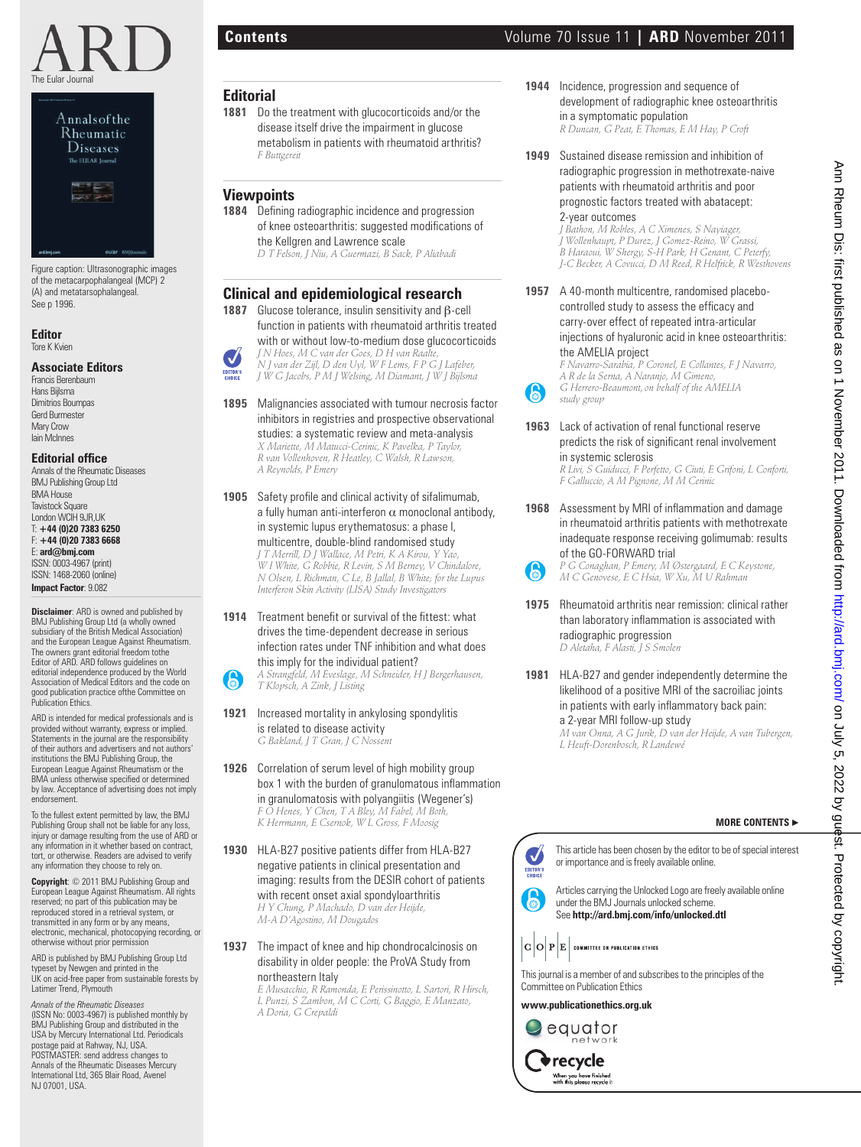



Figure caption: Ultrasonographic images of the metacarpophalangeal (MCP) 2 (A) and metatarsophalangeal. See p 1996.

## **Editor**

Tore K Kvien

## **Associate Editors**

Francis Berenbaum Hans Bijlsma Dimitrios Boumpas Gerd Burmester Mary Crow Iain McInnes

#### **Editorial office**

Annals of the Rheumatic Diseases BMJ Publishing Group Ltd BMA House **Tavistock Square** London WCIH 9JR,UK T: **+44 (0)20 7383 6250** F: **+44 (0)20 7383 6668** E: **ard@bmj.com** ISSN: 0003-4967 (print) ISSN: 1468-2060 (online) **Impact Factor**: 9.082

**Disclaimer**: ARD is owned and published by BMJ Publishing Group Ltd (a wholly owned subsidiary of the British Medical Association) and the European League Against Rheumatism. The owners grant editorial freedom tothe Editor of ARD. ARD follows guidelines on editorial independence produced by the World Association of Medical Editors and the code on good publication practice of the Committee on Publication Ethics

ARD is intended for medical professionals and is provided without warranty, express or implied. Statements in the journal are the responsibility of their authors and advertisers and not authors' institutions the BMJ Publishing Group, the European League Against Rheumatism or the BMA unless otherwise specified or determined by law. Acceptance of advertising does not imply endorsement.

To the fullest extent permitted by law, the BMJ Publishing Group shall not be liable for any loss injury or damage resulting from the use of ARD or any information in it whether based on contract, tort, or otherwise. Readers are advised to verify any information they choose to rely on.

**Copyright**: © 2011 BMJ Publishing Group and European League Against Rheumatism. All rights reserved; no part of this publication may be reproduced stored in a retrieval system, or transmitted in any form or by any means, electronic, mechanical, photocopying recording, or otherwise without prior permission

ARD is published by BMJ Publishing Group Ltd typeset by Newgen and printed in the UK on acid-free paper from sustainable forests by Latimer Trend, Plymouth

*Annals of the Rheumatic Diseases* (ISSN No: 0003-4967) is published monthly by BMJ Publishing Group and distributed in the USA by Mercury International Ltd. Periodicals postage paid at Rahway, NJ, USA. POSTMASTER: send address changes to Annals of the Rheumatic Diseases Mercury International Ltd, 365 Blair Road, Avenel NJ 07001, USA.

## **Editorial**

**1881** Do the treatment with glucocorticoids and/or the disease itself drive the impairment in glucose metabolism in patients with rheumatoid arthritis?  *F Buttgereit*

## **Viewpoints**

1884 Defining radiographic incidence and progression of knee osteoarthritis: suggested modifications of the Kellgren and Lawrence scale  *D T Felson, J Niu, A Guermazi, B Sack, P Aliabadi*

## **Clinical and epidemiological research**

- **1887** Glucose tolerance, insulin sensitivity and β-cell function in patients with rheumatoid arthritis treated with or without low-to-medium dose glucocorticoids  *J N Hoes, M C van der Goes, D H van Raalte, N J van der Zijl, D den Uyl, W F Lems, F P G J Lafeber, J W G Jacobs, P M J Welsing, M Diamant, J W J Bijlsma*
- **1895** Malignancies associated with tumour necrosis factor inhibitors in registries and prospective observational

studies: a systematic review and meta-analysis  *X Mariette, M Matucci-Cerinic, K Pavelka, P Taylor, R van Vollenhoven, R Heatley, C Walsh, R Lawson, A Reynolds, P Emery*

**1905** Safety profile and clinical activity of sifalimumab, a fully human anti-interferon  $\alpha$  monoclonal antibody, in systemic lupus erythematosus: a phase I, multicentre, double-blind randomised study

 *J T Merrill, D J Wallace, M Petri, K A Kirou, Y Yao, W I White, G Robbie, R Levin, S M Berney, V Chindalore, N Olsen, L Richman, C Le, B Jallal, B White; for the Lupus Interferon Skin Activity (LISA) Study Investigators*

**1914** Treatment benefit or survival of the fittest: what drives the time-dependent decrease in serious infection rates under TNF inhibition and what does this imply for the individual patient?

 *A Strangfeld, M Eveslage, M Schneider, H J Bergerhausen, T Klopsch, A Zink, J Listing*

- **1921** Increased mortality in ankylosing spondylitis is related to disease activity  *G Bakland, J T Gran, J C Nossent*
- **1926** Correlation of serum level of high mobility group box 1 with the burden of granulomatous inflammation in granulomatosis with polyangiitis (Wegener's)  *F O Henes, Y Chen, T A Bley, M Fabel, M Both, K Herrmann, E Csernok, W L Gross, F Moosig*
- **1930** HLA-B27 positive patients differ from HLA-B27 negative patients in clinical presentation and imaging: results from the DESIR cohort of patients with recent onset axial spondyloarthritis  *H Y Chung, P Machado, D van der Heijde, M-A D'Agostino, M Dougados* **Example 1 9.**  $\frac{1}{2}$  (are  $\frac{1}{2}$  (a)  $\frac{1}{2}$  (a)  $\frac{1}{2}$  (a)  $\frac{1}{2}$  (a)  $\frac{1}{2}$  (a)  $\frac{1}{2}$  (a)  $\frac{1}{2}$  (a)  $\frac{1}{2}$  (a)  $\frac{1}{2}$  (b)  $\frac{1}{2}$  (a)  $\frac{1}{2}$  (b)  $\frac{1}{2}$  (b)  $\frac{1}{2}$  (b)  $\frac{1}{2}$

**1937** The impact of knee and hip chondrocalcinosis on disability in older people: the ProVA Study from northeastern Italy

 *E Musacchio, R Ramonda, E Perissinotto, L Sartori, R Hirsch, L Punzi, S Zambon, M C Corti, G Baggio, E Manzato, A Doria, G Crepaldi*

- **1944** Incidence, progression and sequence of development of radiographic knee osteoarthritis in a symptomatic population  *R Duncan, G Peat, E Thomas, E M Hay, P Croft*
- **1949** Sustained disease remission and inhibition of radiographic progression in methotrexate-naive patients with rheumatoid arthritis and poor prognostic factors treated with abatacept: 2-year outcomes

 *J Bathon, M Robles, A C Ximenes, S Nayiager, J Wollenhaupt, P Durez, J Gomez-Reino, W Grassi, B Haraoui, W Shergy, S-H Park, H Genant, C Peterfy, J-C Becker, A Covucci, D M Reed, R Helfrick, R Westhovens*

**1957** A 40-month multicentre, randomised placebocontrolled study to assess the efficacy and carry-over effect of repeated intra-articular injections of hyaluronic acid in knee osteoarthritis: the AMELIA project

 *F Navarro-Sarabia, P Coronel, E Collantes, F J Navarro, A R de la Serna, A Naranjo, M Gimeno, G Herrero-Beaumont, on behalf of the AMELIA study group*

**1963** Lack of activation of renal functional reserve predicts the risk of significant renal involvement

> in systemic sclerosis  *R Livi, S Guiducci, F Perfetto, G Ciuti, E Grifoni, L Conforti, F Galluccio, A M Pignone, M M Cerinic*

**1968** Assessment by MRI of inflammation and damage in rheumatoid arthritis patients with methotrexate inadequate response receiving golimumab: results of the GO-FORWARD trial

 *P G Conaghan, P Emery, M Østergaard, E C Keystone, M C Genovese, E C Hsia, W Xu, M U Rahman*

- **1975** Rheumatoid arthritis near remission: clinical rather than laboratory inflammation is associated with radiographic progression  *D Aletaha, F Alasti, J S Smolen*
- **1981** HLA-B27 and gender independently determine the likelihood of a positive MRI of the sacroiliac joints in patients with early inflammatory back pain: a 2-year MRI follow-up study  *M van Onna, A G Jurik, D van der Heijde, A van Tubergen,*

*L Heuft-Dorenbosch, R Landewé*

## **MORE CONTENTS** ▶

This article has been chosen by the editor to be of special interest or importance and is freely available online.

Articles carrying the Unlocked Logo are freely available online under the BMJ Journals unlocked scheme. See **http://ard.bmj.com/info/unlocked.dtl**



This journal is a member of and subscribes to the principles of the Committee on Publication Ethics

**www.publicationethics.org.uk**